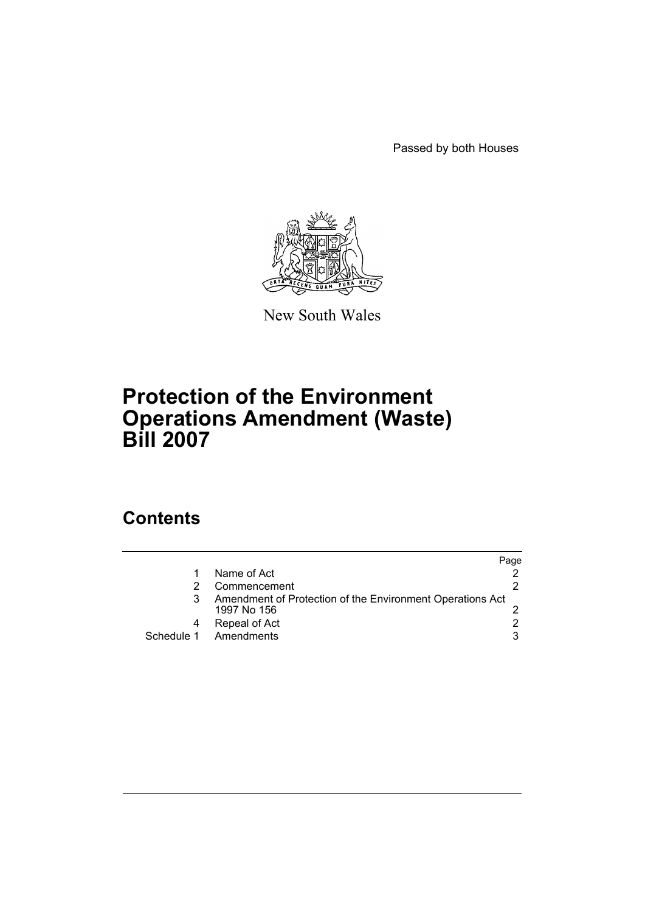Passed by both Houses



New South Wales

# **Protection of the Environment Operations Amendment (Waste) Bill 2007**

## **Contents**

|            |                                                                          | Page |
|------------|--------------------------------------------------------------------------|------|
|            | Name of Act                                                              |      |
|            | Commencement                                                             |      |
|            | Amendment of Protection of the Environment Operations Act<br>1997 No 156 |      |
|            | Repeal of Act                                                            |      |
| Schedule 1 | Amendments                                                               | 3    |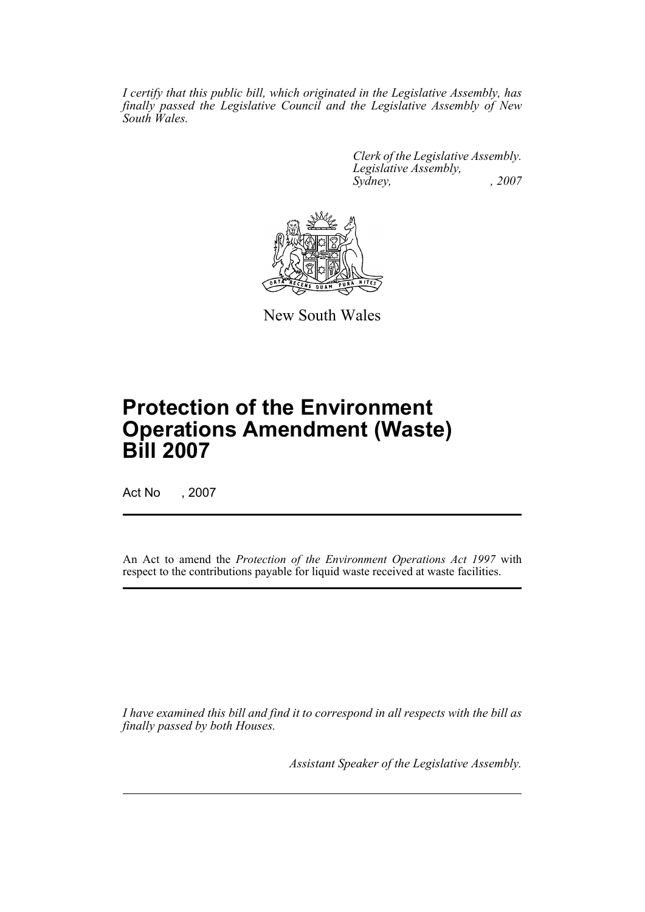*I certify that this public bill, which originated in the Legislative Assembly, has finally passed the Legislative Council and the Legislative Assembly of New South Wales.*

> *Clerk of the Legislative Assembly. Legislative Assembly, Sydney, , 2007*



New South Wales

# **Protection of the Environment Operations Amendment (Waste) Bill 2007**

Act No , 2007

An Act to amend the *Protection of the Environment Operations Act 1997* with respect to the contributions payable for liquid waste received at waste facilities.

*I have examined this bill and find it to correspond in all respects with the bill as finally passed by both Houses.*

*Assistant Speaker of the Legislative Assembly.*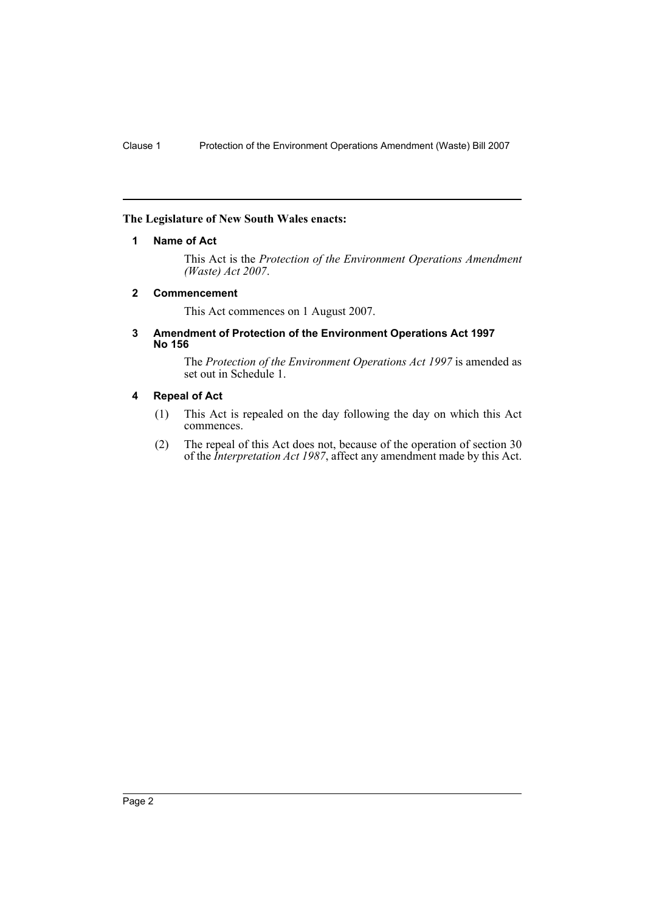#### <span id="page-2-0"></span>**The Legislature of New South Wales enacts:**

#### **1 Name of Act**

This Act is the *Protection of the Environment Operations Amendment (Waste) Act 2007*.

#### <span id="page-2-1"></span>**2 Commencement**

This Act commences on 1 August 2007.

#### <span id="page-2-2"></span>**3 Amendment of Protection of the Environment Operations Act 1997 No 156**

The *Protection of the Environment Operations Act 1997* is amended as set out in Schedule 1.

#### <span id="page-2-3"></span>**4 Repeal of Act**

- (1) This Act is repealed on the day following the day on which this Act commences.
- (2) The repeal of this Act does not, because of the operation of section 30 of the *Interpretation Act 1987*, affect any amendment made by this Act.